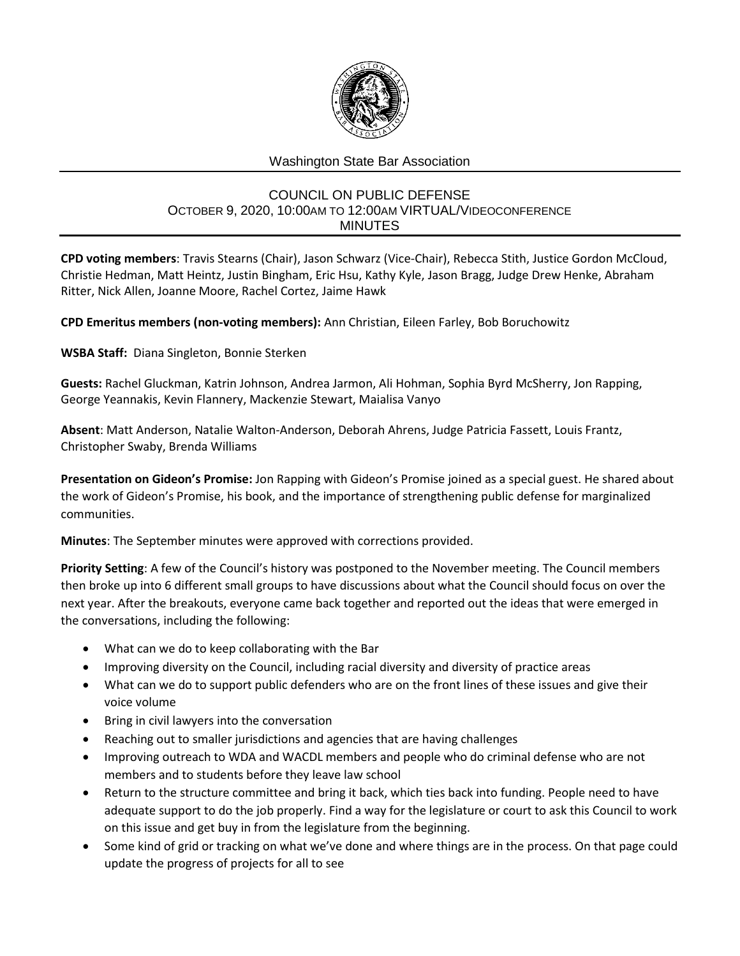

## Washington State Bar Association

## COUNCIL ON PUBLIC DEFENSE OCTOBER 9, 2020, 10:00AM TO 12:00AM VIRTUAL/VIDEOCONFERENCE MINUTES

**CPD voting members**: Travis Stearns (Chair), Jason Schwarz (Vice-Chair), Rebecca Stith, Justice Gordon McCloud, Christie Hedman, Matt Heintz, Justin Bingham, Eric Hsu, Kathy Kyle, Jason Bragg, Judge Drew Henke, Abraham Ritter, Nick Allen, Joanne Moore, Rachel Cortez, Jaime Hawk

**CPD Emeritus members (non-voting members):** Ann Christian, Eileen Farley, Bob Boruchowitz

**WSBA Staff:** Diana Singleton, Bonnie Sterken

**Guests:** Rachel Gluckman, Katrin Johnson, Andrea Jarmon, Ali Hohman, Sophia Byrd McSherry, Jon Rapping, George Yeannakis, Kevin Flannery, Mackenzie Stewart, Maialisa Vanyo

**Absent**: Matt Anderson, Natalie Walton-Anderson, Deborah Ahrens, Judge Patricia Fassett, Louis Frantz, Christopher Swaby, Brenda Williams

**Presentation on Gideon's Promise:** Jon Rapping with Gideon's Promise joined as a special guest. He shared about the work of Gideon's Promise, his book, and the importance of strengthening public defense for marginalized communities.

**Minutes**: The September minutes were approved with corrections provided.

**Priority Setting**: A few of the Council's history was postponed to the November meeting. The Council members then broke up into 6 different small groups to have discussions about what the Council should focus on over the next year. After the breakouts, everyone came back together and reported out the ideas that were emerged in the conversations, including the following:

- What can we do to keep collaborating with the Bar
- Improving diversity on the Council, including racial diversity and diversity of practice areas
- What can we do to support public defenders who are on the front lines of these issues and give their voice volume
- Bring in civil lawyers into the conversation
- Reaching out to smaller jurisdictions and agencies that are having challenges
- Improving outreach to WDA and WACDL members and people who do criminal defense who are not members and to students before they leave law school
- Return to the structure committee and bring it back, which ties back into funding. People need to have adequate support to do the job properly. Find a way for the legislature or court to ask this Council to work on this issue and get buy in from the legislature from the beginning.
- Some kind of grid or tracking on what we've done and where things are in the process. On that page could update the progress of projects for all to see